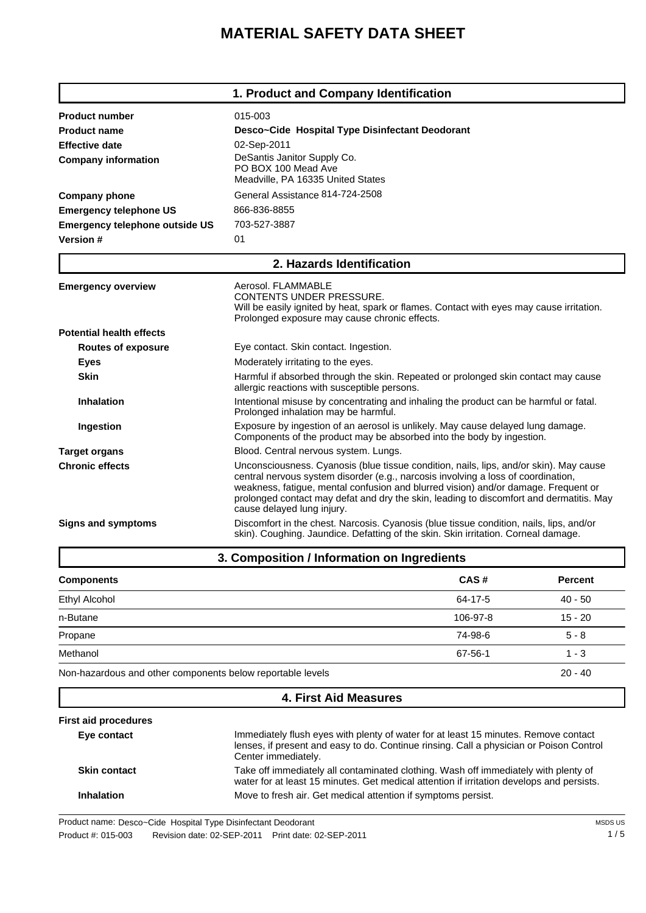## **MATERIAL SAFETY DATA SHEET**

|                                       | 1. Product and Company Identification                                                                                                                                                                                                                                                                                                                                                      |  |  |  |
|---------------------------------------|--------------------------------------------------------------------------------------------------------------------------------------------------------------------------------------------------------------------------------------------------------------------------------------------------------------------------------------------------------------------------------------------|--|--|--|
| <b>Product number</b>                 | 015-003                                                                                                                                                                                                                                                                                                                                                                                    |  |  |  |
| <b>Product name</b>                   | Desco~Cide Hospital Type Disinfectant Deodorant                                                                                                                                                                                                                                                                                                                                            |  |  |  |
| <b>Effective date</b>                 | 02-Sep-2011                                                                                                                                                                                                                                                                                                                                                                                |  |  |  |
| <b>Company information</b>            | DeSantis Janitor Supply Co.<br>PO BOX 100 Mead Ave<br>Meadville, PA 16335 United States                                                                                                                                                                                                                                                                                                    |  |  |  |
| <b>Company phone</b>                  | General Assistance 814-724-2508                                                                                                                                                                                                                                                                                                                                                            |  |  |  |
| <b>Emergency telephone US</b>         | 866-836-8855                                                                                                                                                                                                                                                                                                                                                                               |  |  |  |
| <b>Emergency telephone outside US</b> | 703-527-3887                                                                                                                                                                                                                                                                                                                                                                               |  |  |  |
| Version #                             | 01                                                                                                                                                                                                                                                                                                                                                                                         |  |  |  |
| 2. Hazards Identification             |                                                                                                                                                                                                                                                                                                                                                                                            |  |  |  |
| <b>Emergency overview</b>             | Aerosol, FLAMMABLE<br><b>CONTENTS UNDER PRESSURE.</b><br>Will be easily ignited by heat, spark or flames. Contact with eyes may cause irritation.<br>Prolonged exposure may cause chronic effects.                                                                                                                                                                                         |  |  |  |
| <b>Potential health effects</b>       |                                                                                                                                                                                                                                                                                                                                                                                            |  |  |  |
| <b>Routes of exposure</b>             | Eye contact. Skin contact. Ingestion.                                                                                                                                                                                                                                                                                                                                                      |  |  |  |
| <b>Eyes</b>                           | Moderately irritating to the eyes.                                                                                                                                                                                                                                                                                                                                                         |  |  |  |
| <b>Skin</b>                           | Harmful if absorbed through the skin. Repeated or prolonged skin contact may cause<br>allergic reactions with susceptible persons.                                                                                                                                                                                                                                                         |  |  |  |
| <b>Inhalation</b>                     | Intentional misuse by concentrating and inhaling the product can be harmful or fatal.<br>Prolonged inhalation may be harmful.                                                                                                                                                                                                                                                              |  |  |  |
| Ingestion                             | Exposure by ingestion of an aerosol is unlikely. May cause delayed lung damage.<br>Components of the product may be absorbed into the body by ingestion.                                                                                                                                                                                                                                   |  |  |  |
| <b>Target organs</b>                  | Blood. Central nervous system. Lungs.                                                                                                                                                                                                                                                                                                                                                      |  |  |  |
| <b>Chronic effects</b>                | Unconsciousness. Cyanosis (blue tissue condition, nails, lips, and/or skin). May cause<br>central nervous system disorder (e.g., narcosis involving a loss of coordination,<br>weakness, fatigue, mental confusion and blurred vision) and/or damage. Frequent or<br>prolonged contact may defat and dry the skin, leading to discomfort and dermatitis. May<br>cause delayed lung injury. |  |  |  |
| <b>Signs and symptoms</b>             | Discomfort in the chest. Narcosis. Cyanosis (blue tissue condition, nails, lips, and/or<br>skin). Coughing. Jaundice. Defatting of the skin. Skin irritation. Corneal damage.                                                                                                                                                                                                              |  |  |  |
|                                       | 3. Composition / Information on Ingredients                                                                                                                                                                                                                                                                                                                                                |  |  |  |

| CAS#     | <b>Percent</b> |
|----------|----------------|
| 64-17-5  | $40 - 50$      |
| 106-97-8 | $15 - 20$      |
| 74-98-6  | $5 - 8$        |
| 67-56-1  | $1 - 3$        |
|          | $20 - 40$      |
|          |                |

## **4. First Aid Measures**

**Eye contact** Immediately flush eyes with plenty of water for at least 15 minutes. Remove contact lenses, if present and easy to do. Continue rinsing. Call a physician or Poison Control Center immediately. **First aid procedures Skin contact** Take off immediately all contaminated clothing. Wash off immediately with plenty of water for at least 15 minutes. Get medical attention if irritation develops and persists. **Inhalation** Move to fresh air. Get medical attention if symptoms persist.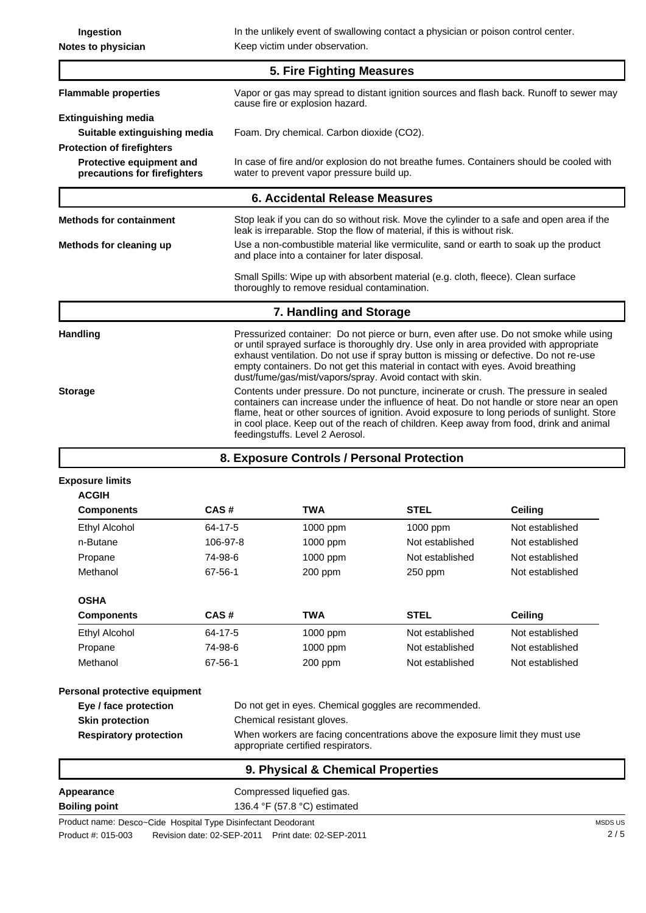**Ingestion** In the unlikely event of swallowing contact a physician or poison control center. **Notes to physician** Keep victim under observation. **Flammable properties** Vapor or gas may spread to distant ignition sources and flash back. Runoff to sewer may cause fire or explosion hazard. **5. Fire Fighting Measures Suitable extinguishing media** Foam. Dry chemical. Carbon dioxide (CO2). **Extinguishing media Protective equipment and precautions for firefighters** In case of fire and/or explosion do not breathe fumes. Containers should be cooled with water to prevent vapor pressure build up. **Protection of firefighters 6. Accidental Release Measures**

**Methods for containment** Stop leak if you can do so without risk. Move the cylinder to a safe and open area if the leak is irreparable. Stop the flow of material, if this is without risk. **Methods for cleaning up** Use a non-combustible material like vermiculite, sand or earth to soak up the product and place into a container for later disposal. Small Spills: Wipe up with absorbent material (e.g. cloth, fleece). Clean surface thoroughly to remove residual contamination. Handling **Pressurized container:** Do not pierce or burn, even after use. Do not smoke while using or until sprayed surface is thoroughly dry. Use only in area provided with appropriate exhaust ventilation. Do not use if spray button is missing or defective. Do not re-use **7. Handling and Storage**

empty containers. Do not get this material in contact with eyes. Avoid breathing dust/fume/gas/mist/vapors/spray. Avoid contact with skin. **Storage** Contents under pressure. Do not puncture, incinerate or crush. The pressure in sealed containers can increase under the influence of heat. Do not handle or store near an open flame, heat or other sources of ignition. Avoid exposure to long periods of sunlight. Store in cool place. Keep out of the reach of children. Keep away from food, drink and animal feedingstuffs. Level 2 Aerosol.

**8. Exposure Controls / Personal Protection**

| <b>Components</b> | CAS#     | <b>TWA</b> | <b>STEL</b>     | <b>Ceiling</b>  |
|-------------------|----------|------------|-----------------|-----------------|
| Ethyl Alcohol     | 64-17-5  | 1000 ppm   | $1000$ ppm      | Not established |
| n-Butane          | 106-97-8 | 1000 ppm   | Not established | Not established |
| Propane           | 74-98-6  | 1000 ppm   | Not established | Not established |
| Methanol          | 67-56-1  | $200$ ppm  | $250$ ppm       | Not established |
| <b>OSHA</b>       |          |            |                 |                 |
| <b>Components</b> | CAS#     | <b>TWA</b> | <b>STEL</b>     | Ceiling         |
| Ethyl Alcohol     | 64-17-5  | 1000 ppm   | Not established | Not established |
| Propane           | 74-98-6  | 1000 ppm   | Not established | Not established |
| Methanol          | 67-56-1  | $200$ ppm  | Not established | Not established |

| Personal protective equipment |  |
|-------------------------------|--|
|-------------------------------|--|

| Eye / face protection         | Do not get in eyes. Chemical goggles are recommended.                                                               |
|-------------------------------|---------------------------------------------------------------------------------------------------------------------|
| <b>Skin protection</b>        | Chemical resistant gloves.                                                                                          |
| <b>Respiratory protection</b> | When workers are facing concentrations above the exposure limit they must use<br>appropriate certified respirators. |

| 9. Physical & Chemical Properties |                                                |  |  |
|-----------------------------------|------------------------------------------------|--|--|
| Appearance                        | Compressed liquefied gas.                      |  |  |
| <b>Boiling point</b>              | 136.4 $\degree$ F (57.8 $\degree$ C) estimated |  |  |
|                                   |                                                |  |  |

Product name: Desco~Cide Hospital Type Disinfectant Deodorant Product #: 015-003 Revision date: 02-SEP-2011 Print date: 02-SEP-2011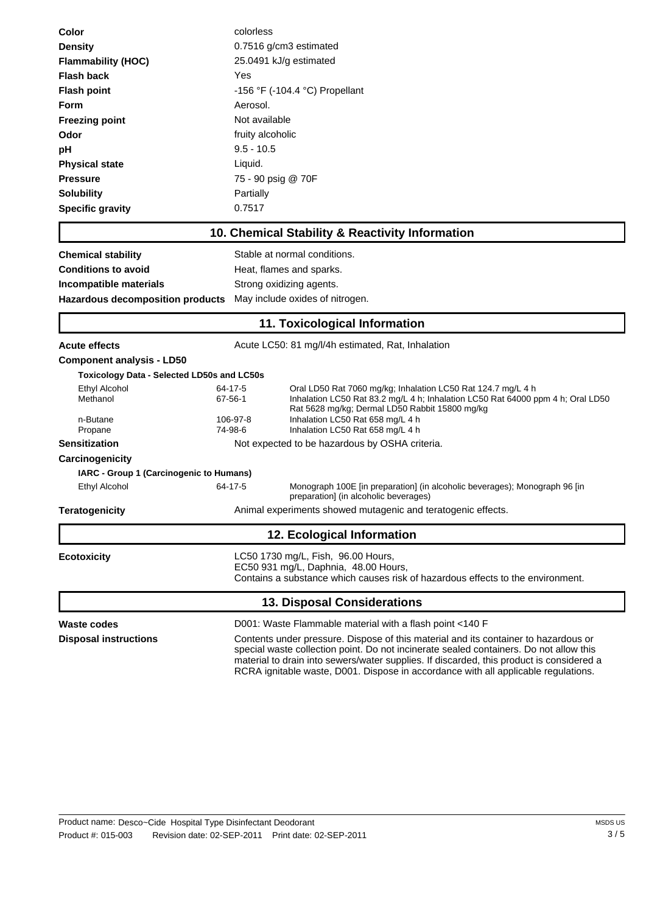| Color                                                           | colorless                                                                                                                                                     |                                                                                                                                                                                                                                                                                                                                                                 |  |  |
|-----------------------------------------------------------------|---------------------------------------------------------------------------------------------------------------------------------------------------------------|-----------------------------------------------------------------------------------------------------------------------------------------------------------------------------------------------------------------------------------------------------------------------------------------------------------------------------------------------------------------|--|--|
| <b>Density</b>                                                  | 0.7516 g/cm3 estimated                                                                                                                                        |                                                                                                                                                                                                                                                                                                                                                                 |  |  |
| <b>Flammability (HOC)</b>                                       | 25.0491 kJ/g estimated                                                                                                                                        |                                                                                                                                                                                                                                                                                                                                                                 |  |  |
| Flash back                                                      | Yes                                                                                                                                                           |                                                                                                                                                                                                                                                                                                                                                                 |  |  |
| <b>Flash point</b>                                              | -156 °F (-104.4 °C) Propellant                                                                                                                                |                                                                                                                                                                                                                                                                                                                                                                 |  |  |
| Form                                                            | Aerosol.                                                                                                                                                      |                                                                                                                                                                                                                                                                                                                                                                 |  |  |
| <b>Freezing point</b>                                           | Not available                                                                                                                                                 |                                                                                                                                                                                                                                                                                                                                                                 |  |  |
| Odor                                                            | fruity alcoholic                                                                                                                                              |                                                                                                                                                                                                                                                                                                                                                                 |  |  |
| рH                                                              | $9.5 - 10.5$                                                                                                                                                  |                                                                                                                                                                                                                                                                                                                                                                 |  |  |
| <b>Physical state</b>                                           | Liquid.                                                                                                                                                       |                                                                                                                                                                                                                                                                                                                                                                 |  |  |
| <b>Pressure</b>                                                 | 75 - 90 psig @ 70F                                                                                                                                            |                                                                                                                                                                                                                                                                                                                                                                 |  |  |
| <b>Solubility</b>                                               | Partially                                                                                                                                                     |                                                                                                                                                                                                                                                                                                                                                                 |  |  |
| <b>Specific gravity</b>                                         | 0.7517                                                                                                                                                        |                                                                                                                                                                                                                                                                                                                                                                 |  |  |
|                                                                 |                                                                                                                                                               | 10. Chemical Stability & Reactivity Information                                                                                                                                                                                                                                                                                                                 |  |  |
| <b>Chemical stability</b>                                       |                                                                                                                                                               | Stable at normal conditions.                                                                                                                                                                                                                                                                                                                                    |  |  |
| <b>Conditions to avoid</b>                                      |                                                                                                                                                               | Heat, flames and sparks.                                                                                                                                                                                                                                                                                                                                        |  |  |
| Incompatible materials                                          |                                                                                                                                                               | Strong oxidizing agents.                                                                                                                                                                                                                                                                                                                                        |  |  |
| <b>Hazardous decomposition products</b>                         |                                                                                                                                                               | May include oxides of nitrogen.                                                                                                                                                                                                                                                                                                                                 |  |  |
|                                                                 |                                                                                                                                                               | 11. Toxicological Information                                                                                                                                                                                                                                                                                                                                   |  |  |
| <b>Acute effects</b>                                            |                                                                                                                                                               | Acute LC50: 81 mg/l/4h estimated, Rat, Inhalation                                                                                                                                                                                                                                                                                                               |  |  |
| <b>Component analysis - LD50</b>                                |                                                                                                                                                               |                                                                                                                                                                                                                                                                                                                                                                 |  |  |
| <b>Toxicology Data - Selected LD50s and LC50s</b>               |                                                                                                                                                               |                                                                                                                                                                                                                                                                                                                                                                 |  |  |
| Ethyl Alcohol<br>Methanol                                       | 64-17-5<br>67-56-1                                                                                                                                            | Oral LD50 Rat 7060 mg/kg; Inhalation LC50 Rat 124.7 mg/L 4 h<br>Inhalation LC50 Rat 83.2 mg/L 4 h; Inhalation LC50 Rat 64000 ppm 4 h; Oral LD50<br>Rat 5628 mg/kg; Dermal LD50 Rabbit 15800 mg/kg                                                                                                                                                               |  |  |
| n-Butane                                                        | 106-97-8                                                                                                                                                      | Inhalation LC50 Rat 658 mg/L 4 h                                                                                                                                                                                                                                                                                                                                |  |  |
| Propane<br><b>Sensitization</b>                                 | 74-98-6                                                                                                                                                       | Inhalation LC50 Rat 658 mg/L 4 h<br>Not expected to be hazardous by OSHA criteria.                                                                                                                                                                                                                                                                              |  |  |
|                                                                 |                                                                                                                                                               |                                                                                                                                                                                                                                                                                                                                                                 |  |  |
| <b>Carcinogenicity</b>                                          |                                                                                                                                                               |                                                                                                                                                                                                                                                                                                                                                                 |  |  |
| IARC - Group 1 (Carcinogenic to Humans)<br><b>Ethyl Alcohol</b> | 64-17-5                                                                                                                                                       | Monograph 100E [in preparation] (in alcoholic beverages); Monograph 96 [in                                                                                                                                                                                                                                                                                      |  |  |
|                                                                 |                                                                                                                                                               | preparation] (in alcoholic beverages)                                                                                                                                                                                                                                                                                                                           |  |  |
| <b>Teratogenicity</b>                                           |                                                                                                                                                               | Animal experiments showed mutagenic and teratogenic effects.                                                                                                                                                                                                                                                                                                    |  |  |
|                                                                 |                                                                                                                                                               | 12. Ecological Information                                                                                                                                                                                                                                                                                                                                      |  |  |
| <b>Ecotoxicity</b>                                              | LC50 1730 mg/L, Fish, 96.00 Hours,<br>EC50 931 mg/L, Daphnia, 48.00 Hours,<br>Contains a substance which causes risk of hazardous effects to the environment. |                                                                                                                                                                                                                                                                                                                                                                 |  |  |
|                                                                 |                                                                                                                                                               | <b>13. Disposal Considerations</b>                                                                                                                                                                                                                                                                                                                              |  |  |
| Waste codes                                                     |                                                                                                                                                               | D001: Waste Flammable material with a flash point <140 F                                                                                                                                                                                                                                                                                                        |  |  |
| <b>Disposal instructions</b>                                    |                                                                                                                                                               | Contents under pressure. Dispose of this material and its container to hazardous or<br>special waste collection point. Do not incinerate sealed containers. Do not allow this<br>material to drain into sewers/water supplies. If discarded, this product is considered a<br>RCRA ignitable waste, D001. Dispose in accordance with all applicable regulations. |  |  |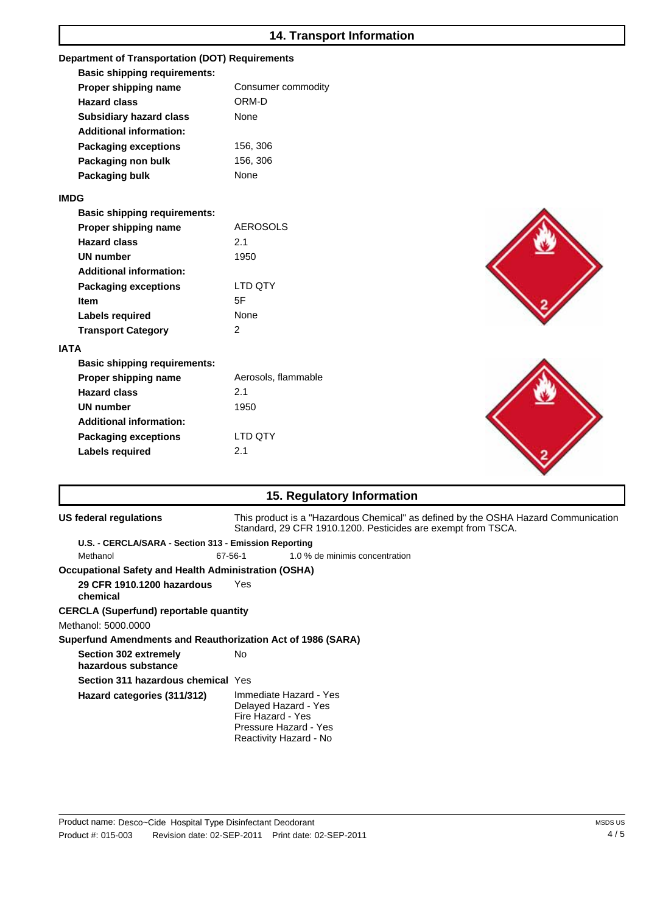## **14. Transport Information**

| <b>Department of Transportation (DOT) Requirements</b> |                     |  |  |  |  |
|--------------------------------------------------------|---------------------|--|--|--|--|
| <b>Basic shipping requirements:</b>                    |                     |  |  |  |  |
| Proper shipping name                                   | Consumer commodity  |  |  |  |  |
| <b>Hazard class</b>                                    | ORM-D               |  |  |  |  |
| <b>Subsidiary hazard class</b>                         | None                |  |  |  |  |
| <b>Additional information:</b>                         |                     |  |  |  |  |
| <b>Packaging exceptions</b>                            | 156, 306            |  |  |  |  |
| Packaging non bulk                                     | 156, 306            |  |  |  |  |
| Packaging bulk                                         | None                |  |  |  |  |
| <b>IMDG</b>                                            |                     |  |  |  |  |
| <b>Basic shipping requirements:</b>                    |                     |  |  |  |  |
| Proper shipping name                                   | <b>AEROSOLS</b>     |  |  |  |  |
| <b>Hazard class</b>                                    | 2.1                 |  |  |  |  |
| <b>UN number</b>                                       | 1950                |  |  |  |  |
| <b>Additional information:</b>                         |                     |  |  |  |  |
| <b>Packaging exceptions</b>                            | LTD QTY             |  |  |  |  |
| <b>Item</b>                                            | 5F                  |  |  |  |  |
| <b>Labels required</b>                                 | None                |  |  |  |  |
| <b>Transport Category</b>                              | $\overline{2}$      |  |  |  |  |
| <b>IATA</b>                                            |                     |  |  |  |  |
| <b>Basic shipping requirements:</b>                    |                     |  |  |  |  |
| Proper shipping name                                   | Aerosols, flammable |  |  |  |  |
| <b>Hazard class</b>                                    | 2.1                 |  |  |  |  |
| <b>UN number</b>                                       | 1950                |  |  |  |  |
| <b>Additional information:</b>                         |                     |  |  |  |  |
| <b>Packaging exceptions</b>                            | LTD QTY             |  |  |  |  |
| <b>Labels required</b>                                 | 2.1                 |  |  |  |  |
|                                                        |                     |  |  |  |  |

| 15. Regulatory Information                                  |                                                                                                                                                    |  |  |
|-------------------------------------------------------------|----------------------------------------------------------------------------------------------------------------------------------------------------|--|--|
| US federal regulations                                      | This product is a "Hazardous Chemical" as defined by the OSHA Hazard Communication<br>Standard, 29 CFR 1910.1200. Pesticides are exempt from TSCA. |  |  |
| U.S. - CERCLA/SARA - Section 313 - Emission Reporting       |                                                                                                                                                    |  |  |
| Methanol                                                    | 67-56-1<br>1.0 % de minimis concentration                                                                                                          |  |  |
| <b>Occupational Safety and Health Administration (OSHA)</b> |                                                                                                                                                    |  |  |
| 29 CFR 1910.1200 hazardous<br>chemical                      | Yes                                                                                                                                                |  |  |
| <b>CERCLA (Superfund) reportable quantity</b>               |                                                                                                                                                    |  |  |
| Methanol: 5000.0000                                         |                                                                                                                                                    |  |  |
| Superfund Amendments and Reauthorization Act of 1986 (SARA) |                                                                                                                                                    |  |  |
| <b>Section 302 extremely</b><br>hazardous substance         | No.                                                                                                                                                |  |  |
| <b>Section 311 hazardous chemical Yes</b>                   |                                                                                                                                                    |  |  |
| Hazard categories (311/312)                                 | Immediate Hazard - Yes<br>Delayed Hazard - Yes<br>Fire Hazard - Yes<br>Pressure Hazard - Yes<br>Reactivity Hazard - No                             |  |  |